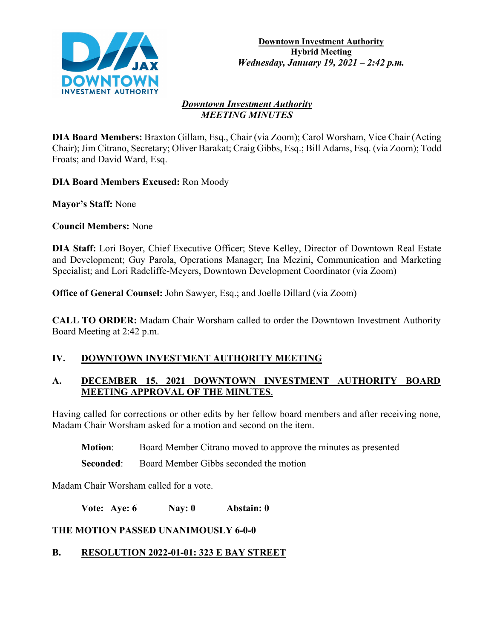

#### *Downtown Investment Authority MEETING MINUTES*

**DIA Board Members:** Braxton Gillam, Esq., Chair (via Zoom); Carol Worsham, Vice Chair (Acting Chair); Jim Citrano, Secretary; Oliver Barakat; Craig Gibbs, Esq.; Bill Adams, Esq. (via Zoom); Todd Froats; and David Ward, Esq.

**DIA Board Members Excused:** Ron Moody

**Mayor's Staff:** None

**Council Members:** None

**DIA Staff:** Lori Boyer, Chief Executive Officer; Steve Kelley, Director of Downtown Real Estate and Development; Guy Parola, Operations Manager; Ina Mezini, Communication and Marketing Specialist; and Lori Radcliffe-Meyers, Downtown Development Coordinator (via Zoom)

**Office of General Counsel:** John Sawyer, Esq.; and Joelle Dillard (via Zoom)

**CALL TO ORDER:** Madam Chair Worsham called to order the Downtown Investment Authority Board Meeting at 2:42 p.m.

## **IV. DOWNTOWN INVESTMENT AUTHORITY MEETING**

## **A. DECEMBER 15, 2021 DOWNTOWN INVESTMENT AUTHORITY BOARD MEETING APPROVAL OF THE MINUTES**.

Having called for corrections or other edits by her fellow board members and after receiving none, Madam Chair Worsham asked for a motion and second on the item.

**Motion**: Board Member Citrano moved to approve the minutes as presented

**Seconded:** Board Member Gibbs seconded the motion

Madam Chair Worsham called for a vote.

**Vote: Aye: 6 Nay: 0 Abstain: 0**

## **THE MOTION PASSED UNANIMOUSLY 6-0-0**

# **B. RESOLUTION 2022-01-01: 323 E BAY STREET**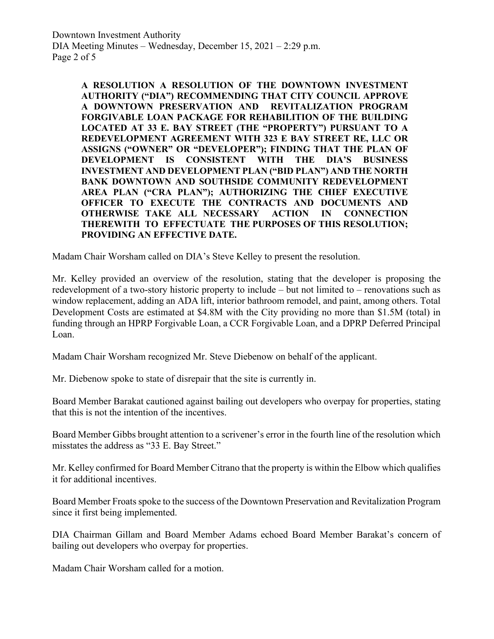**A RESOLUTION A RESOLUTION OF THE DOWNTOWN INVESTMENT AUTHORITY ("DIA") RECOMMENDING THAT CITY COUNCIL APPROVE A DOWNTOWN PRESERVATION AND REVITALIZATION PROGRAM FORGIVABLE LOAN PACKAGE FOR REHABILITION OF THE BUILDING LOCATED AT 33 E. BAY STREET (THE "PROPERTY") PURSUANT TO A REDEVELOPMENT AGREEMENT WITH 323 E BAY STREET RE, LLC OR ASSIGNS ("OWNER" OR "DEVELOPER"); FINDING THAT THE PLAN OF DEVELOPMENT IS CONSISTENT WITH THE DIA'S BUSINESS INVESTMENT AND DEVELOPMENT PLAN ("BID PLAN") AND THE NORTH BANK DOWNTOWN AND SOUTHSIDE COMMUNITY REDEVELOPMENT AREA PLAN ("CRA PLAN"); AUTHORIZING THE CHIEF EXECUTIVE OFFICER TO EXECUTE THE CONTRACTS AND DOCUMENTS AND OTHERWISE TAKE ALL NECESSARY ACTION IN CONNECTION THEREWITH TO EFFECTUATE THE PURPOSES OF THIS RESOLUTION; PROVIDING AN EFFECTIVE DATE.**

Madam Chair Worsham called on DIA's Steve Kelley to present the resolution.

Mr. Kelley provided an overview of the resolution, stating that the developer is proposing the redevelopment of a two-story historic property to include – but not limited to – renovations such as window replacement, adding an ADA lift, interior bathroom remodel, and paint, among others. Total Development Costs are estimated at \$4.8M with the City providing no more than \$1.5M (total) in funding through an HPRP Forgivable Loan, a CCR Forgivable Loan, and a DPRP Deferred Principal Loan.

Madam Chair Worsham recognized Mr. Steve Diebenow on behalf of the applicant.

Mr. Diebenow spoke to state of disrepair that the site is currently in.

Board Member Barakat cautioned against bailing out developers who overpay for properties, stating that this is not the intention of the incentives.

Board Member Gibbs brought attention to a scrivener's error in the fourth line of the resolution which misstates the address as "33 E. Bay Street."

Mr. Kelley confirmed for Board Member Citrano that the property is within the Elbow which qualifies it for additional incentives.

Board Member Froats spoke to the success of the Downtown Preservation and Revitalization Program since it first being implemented.

DIA Chairman Gillam and Board Member Adams echoed Board Member Barakat's concern of bailing out developers who overpay for properties.

Madam Chair Worsham called for a motion.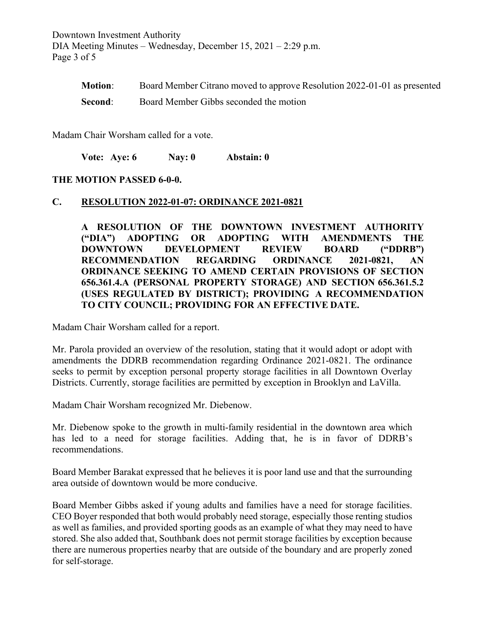Downtown Investment Authority DIA Meeting Minutes – Wednesday, December 15, 2021 – 2:29 p.m. Page 3 of 5

| <b>Motion:</b> | Board Member Citrano moved to approve Resolution 2022-01-01 as presented |
|----------------|--------------------------------------------------------------------------|
| Second:        | Board Member Gibbs seconded the motion                                   |

Madam Chair Worsham called for a vote.

**Vote: Aye: 6 Nay: 0 Abstain: 0**

#### **THE MOTION PASSED 6-0-0.**

#### **C. RESOLUTION 2022-01-07: ORDINANCE 2021-0821**

**A RESOLUTION OF THE DOWNTOWN INVESTMENT AUTHORITY ("DIA") ADOPTING OR ADOPTING WITH AMENDMENTS THE DOWNTOWN DEVELOPMENT REVIEW BOARD ("DDRB") RECOMMENDATION REGARDING ORDINANCE 2021-0821, AN ORDINANCE SEEKING TO AMEND CERTAIN PROVISIONS OF SECTION 656.361.4.A (PERSONAL PROPERTY STORAGE) AND SECTION 656.361.5.2 (USES REGULATED BY DISTRICT); PROVIDING A RECOMMENDATION TO CITY COUNCIL; PROVIDING FOR AN EFFECTIVE DATE.**

Madam Chair Worsham called for a report.

Mr. Parola provided an overview of the resolution, stating that it would adopt or adopt with amendments the DDRB recommendation regarding Ordinance 2021-0821. The ordinance seeks to permit by exception personal property storage facilities in all Downtown Overlay Districts. Currently, storage facilities are permitted by exception in Brooklyn and LaVilla.

Madam Chair Worsham recognized Mr. Diebenow.

Mr. Diebenow spoke to the growth in multi-family residential in the downtown area which has led to a need for storage facilities. Adding that, he is in favor of DDRB's recommendations.

Board Member Barakat expressed that he believes it is poor land use and that the surrounding area outside of downtown would be more conducive.

Board Member Gibbs asked if young adults and families have a need for storage facilities. CEO Boyer responded that both would probably need storage, especially those renting studios as well as families, and provided sporting goods as an example of what they may need to have stored. She also added that, Southbank does not permit storage facilities by exception because there are numerous properties nearby that are outside of the boundary and are properly zoned for self-storage.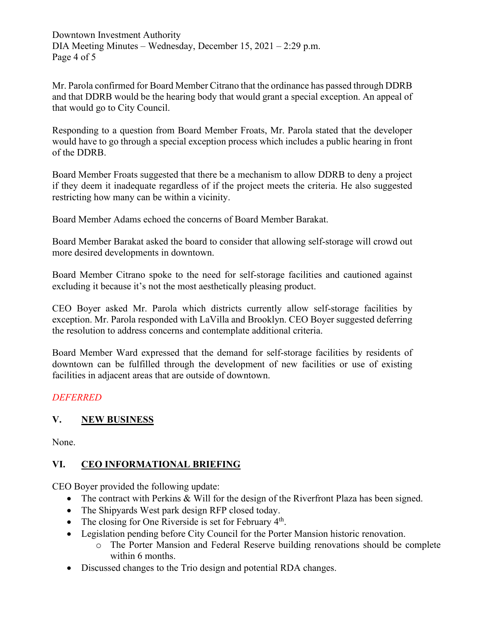Downtown Investment Authority DIA Meeting Minutes – Wednesday, December 15, 2021 – 2:29 p.m. Page 4 of 5

Mr. Parola confirmed for Board Member Citrano that the ordinance has passed through DDRB and that DDRB would be the hearing body that would grant a special exception. An appeal of that would go to City Council.

Responding to a question from Board Member Froats, Mr. Parola stated that the developer would have to go through a special exception process which includes a public hearing in front of the DDRB.

Board Member Froats suggested that there be a mechanism to allow DDRB to deny a project if they deem it inadequate regardless of if the project meets the criteria. He also suggested restricting how many can be within a vicinity.

Board Member Adams echoed the concerns of Board Member Barakat.

Board Member Barakat asked the board to consider that allowing self-storage will crowd out more desired developments in downtown.

Board Member Citrano spoke to the need for self-storage facilities and cautioned against excluding it because it's not the most aesthetically pleasing product.

CEO Boyer asked Mr. Parola which districts currently allow self-storage facilities by exception. Mr. Parola responded with LaVilla and Brooklyn. CEO Boyer suggested deferring the resolution to address concerns and contemplate additional criteria.

Board Member Ward expressed that the demand for self-storage facilities by residents of downtown can be fulfilled through the development of new facilities or use of existing facilities in adjacent areas that are outside of downtown.

## *DEFERRED*

## **V. NEW BUSINESS**

None.

## **VI. CEO INFORMATIONAL BRIEFING**

CEO Boyer provided the following update:

- The contract with Perkins & Will for the design of the Riverfront Plaza has been signed.
- The Shipyards West park design RFP closed today.
- The closing for One Riverside is set for February 4<sup>th</sup>.
- Legislation pending before City Council for the Porter Mansion historic renovation.
	- o The Porter Mansion and Federal Reserve building renovations should be complete within 6 months.
- Discussed changes to the Trio design and potential RDA changes.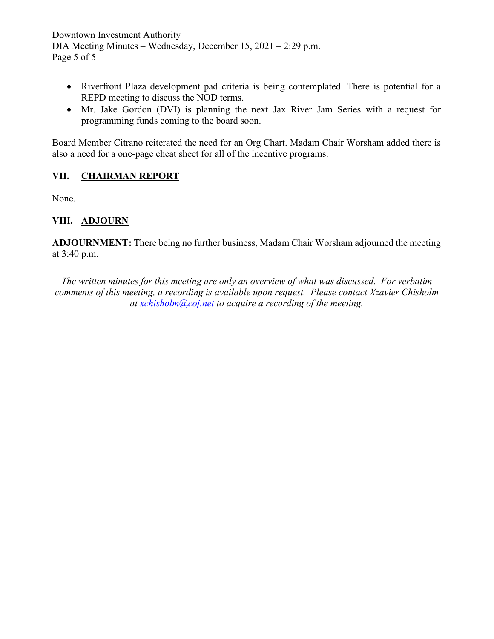Downtown Investment Authority DIA Meeting Minutes – Wednesday, December 15, 2021 – 2:29 p.m. Page 5 of 5

- Riverfront Plaza development pad criteria is being contemplated. There is potential for a REPD meeting to discuss the NOD terms.
- Mr. Jake Gordon (DVI) is planning the next Jax River Jam Series with a request for programming funds coming to the board soon.

Board Member Citrano reiterated the need for an Org Chart. Madam Chair Worsham added there is also a need for a one-page cheat sheet for all of the incentive programs.

### **VII. CHAIRMAN REPORT**

None.

### **VIII. ADJOURN**

**ADJOURNMENT:** There being no further business, Madam Chair Worsham adjourned the meeting at 3:40 p.m.

*The written minutes for this meeting are only an overview of what was discussed. For verbatim comments of this meeting, a recording is available upon request. Please contact Xzavier Chisholm at [xchisholm@coj.net](mailto:xchisholm@coj.net) to acquire a recording of the meeting.*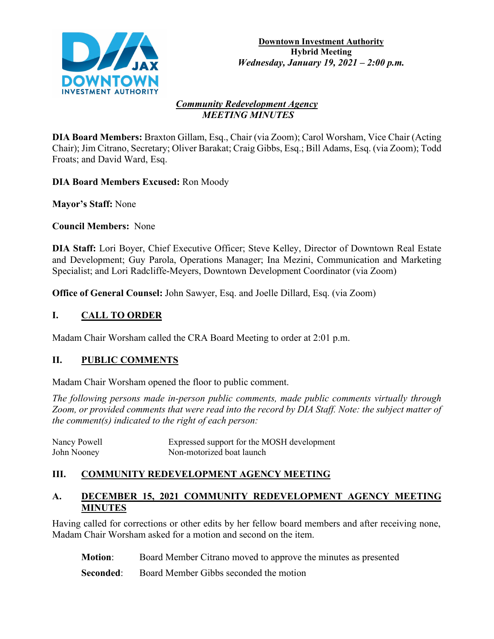

### *Community Redevelopment Agency MEETING MINUTES*

**DIA Board Members:** Braxton Gillam, Esq., Chair (via Zoom); Carol Worsham, Vice Chair (Acting Chair); Jim Citrano, Secretary; Oliver Barakat; Craig Gibbs, Esq.; Bill Adams, Esq. (via Zoom); Todd Froats; and David Ward, Esq.

**DIA Board Members Excused:** Ron Moody

**Mayor's Staff:** None

**Council Members:** None

**DIA Staff:** Lori Boyer, Chief Executive Officer; Steve Kelley, Director of Downtown Real Estate and Development; Guy Parola, Operations Manager; Ina Mezini, Communication and Marketing Specialist; and Lori Radcliffe-Meyers, Downtown Development Coordinator (via Zoom)

**Office of General Counsel:** John Sawyer, Esq. and Joelle Dillard, Esq. (via Zoom)

# **I. CALL TO ORDER**

Madam Chair Worsham called the CRA Board Meeting to order at 2:01 p.m.

## **II. PUBLIC COMMENTS**

Madam Chair Worsham opened the floor to public comment.

*The following persons made in-person public comments, made public comments virtually through Zoom, or provided comments that were read into the record by DIA Staff. Note: the subject matter of the comment(s) indicated to the right of each person:*

| Nancy Powell | Expressed support for the MOSH development |
|--------------|--------------------------------------------|
| John Nooney  | Non-motorized boat launch                  |

# **III. COMMUNITY REDEVELOPMENT AGENCY MEETING**

## **A. DECEMBER 15, 2021 COMMUNITY REDEVELOPMENT AGENCY MEETING MINUTES**

Having called for corrections or other edits by her fellow board members and after receiving none, Madam Chair Worsham asked for a motion and second on the item.

**Motion**: Board Member Citrano moved to approve the minutes as presented

**Seconded:** Board Member Gibbs seconded the motion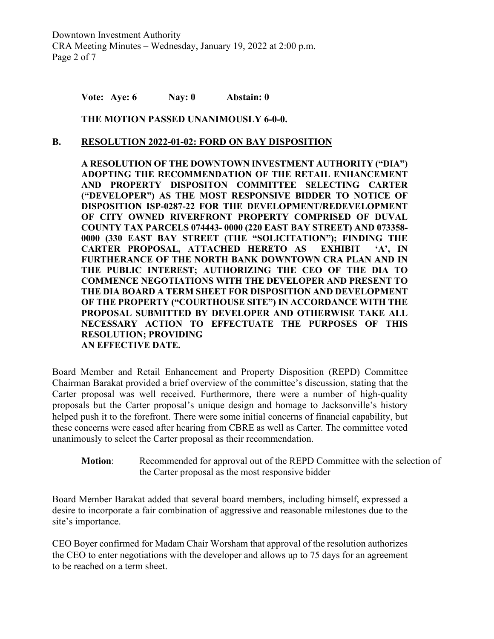**Vote: Aye: 6 Nay: 0 Abstain: 0**

**THE MOTION PASSED UNANIMOUSLY 6-0-0.**

#### **B. RESOLUTION 2022-01-02: FORD ON BAY DISPOSITION**

**A RESOLUTION OF THE DOWNTOWN INVESTMENT AUTHORITY ("DIA") ADOPTING THE RECOMMENDATION OF THE RETAIL ENHANCEMENT AND PROPERTY DISPOSITON COMMITTEE SELECTING CARTER ("DEVELOPER") AS THE MOST RESPONSIVE BIDDER TO NOTICE OF DISPOSITION ISP-0287-22 FOR THE DEVELOPMENT/REDEVELOPMENT OF CITY OWNED RIVERFRONT PROPERTY COMPRISED OF DUVAL COUNTY TAX PARCELS 074443- 0000 (220 EAST BAY STREET) AND 073358- 0000 (330 EAST BAY STREET (THE "SOLICITATION"); FINDING THE CARTER PROPOSAL, ATTACHED HERETO AS EXHIBIT 'A', IN FURTHERANCE OF THE NORTH BANK DOWNTOWN CRA PLAN AND IN THE PUBLIC INTEREST; AUTHORIZING THE CEO OF THE DIA TO COMMENCE NEGOTIATIONS WITH THE DEVELOPER AND PRESENT TO THE DIA BOARD A TERM SHEET FOR DISPOSITION AND DEVELOPMENT OF THE PROPERTY ("COURTHOUSE SITE") IN ACCORDANCE WITH THE PROPOSAL SUBMITTED BY DEVELOPER AND OTHERWISE TAKE ALL NECESSARY ACTION TO EFFECTUATE THE PURPOSES OF THIS RESOLUTION; PROVIDING AN EFFECTIVE DATE.**

Board Member and Retail Enhancement and Property Disposition (REPD) Committee Chairman Barakat provided a brief overview of the committee's discussion, stating that the Carter proposal was well received. Furthermore, there were a number of high-quality proposals but the Carter proposal's unique design and homage to Jacksonville's history helped push it to the forefront. There were some initial concerns of financial capability, but these concerns were eased after hearing from CBRE as well as Carter. The committee voted unanimously to select the Carter proposal as their recommendation.

**Motion**: Recommended for approval out of the REPD Committee with the selection of the Carter proposal as the most responsive bidder

Board Member Barakat added that several board members, including himself, expressed a desire to incorporate a fair combination of aggressive and reasonable milestones due to the site's importance.

CEO Boyer confirmed for Madam Chair Worsham that approval of the resolution authorizes the CEO to enter negotiations with the developer and allows up to 75 days for an agreement to be reached on a term sheet.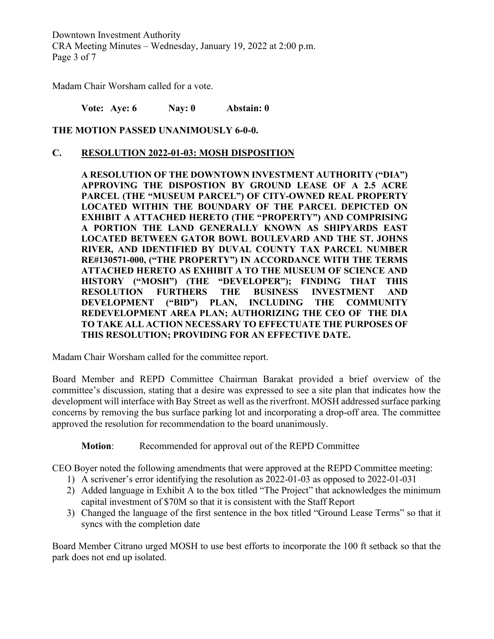Downtown Investment Authority CRA Meeting Minutes – Wednesday, January 19, 2022 at 2:00 p.m. Page 3 of 7

Madam Chair Worsham called for a vote.

**Vote: Aye: 6 Nay: 0 Abstain: 0**

**THE MOTION PASSED UNANIMOUSLY 6-0-0.**

### **C. RESOLUTION 2022-01-03: MOSH DISPOSITION**

**A RESOLUTION OF THE DOWNTOWN INVESTMENT AUTHORITY ("DIA") APPROVING THE DISPOSTION BY GROUND LEASE OF A 2.5 ACRE PARCEL (THE "MUSEUM PARCEL") OF CITY-OWNED REAL PROPERTY LOCATED WITHIN THE BOUNDARY OF THE PARCEL DEPICTED ON EXHIBIT A ATTACHED HERETO (THE "PROPERTY") AND COMPRISING A PORTION THE LAND GENERALLY KNOWN AS SHIPYARDS EAST LOCATED BETWEEN GATOR BOWL BOULEVARD AND THE ST. JOHNS RIVER, AND IDENTIFIED BY DUVAL COUNTY TAX PARCEL NUMBER RE#130571-000, ("THE PROPERTY") IN ACCORDANCE WITH THE TERMS ATTACHED HERETO AS EXHIBIT A TO THE MUSEUM OF SCIENCE AND HISTORY ("MOSH") (THE "DEVELOPER"); FINDING THAT THIS RESOLUTION FURTHERS THE BUSINESS INVESTMENT AND DEVELOPMENT ("BID") PLAN, INCLUDING THE COMMUNITY REDEVELOPMENT AREA PLAN; AUTHORIZING THE CEO OF THE DIA TO TAKE ALL ACTION NECESSARY TO EFFECTUATE THE PURPOSES OF THIS RESOLUTION; PROVIDING FOR AN EFFECTIVE DATE.**

Madam Chair Worsham called for the committee report.

Board Member and REPD Committee Chairman Barakat provided a brief overview of the committee's discussion, stating that a desire was expressed to see a site plan that indicates how the development will interface with Bay Street as well as the riverfront. MOSH addressed surface parking concerns by removing the bus surface parking lot and incorporating a drop-off area. The committee approved the resolution for recommendation to the board unanimously.

**Motion**: Recommended for approval out of the REPD Committee

CEO Boyer noted the following amendments that were approved at the REPD Committee meeting:

- 1) A scrivener's error identifying the resolution as 2022-01-03 as opposed to 2022-01-031
- 2) Added language in Exhibit A to the box titled "The Project" that acknowledges the minimum capital investment of \$70M so that it is consistent with the Staff Report
- 3) Changed the language of the first sentence in the box titled "Ground Lease Terms" so that it syncs with the completion date

Board Member Citrano urged MOSH to use best efforts to incorporate the 100 ft setback so that the park does not end up isolated.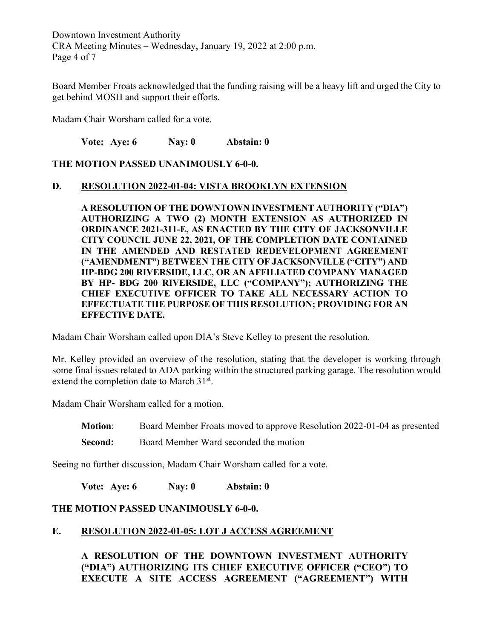Downtown Investment Authority CRA Meeting Minutes – Wednesday, January 19, 2022 at 2:00 p.m. Page 4 of 7

Board Member Froats acknowledged that the funding raising will be a heavy lift and urged the City to get behind MOSH and support their efforts.

Madam Chair Worsham called for a vote.

**Vote: Aye: 6 Nay: 0 Abstain: 0**

**THE MOTION PASSED UNANIMOUSLY 6-0-0.**

#### **D. RESOLUTION 2022-01-04: VISTA BROOKLYN EXTENSION**

**A RESOLUTION OF THE DOWNTOWN INVESTMENT AUTHORITY ("DIA") AUTHORIZING A TWO (2) MONTH EXTENSION AS AUTHORIZED IN ORDINANCE 2021-311-E, AS ENACTED BY THE CITY OF JACKSONVILLE CITY COUNCIL JUNE 22, 2021, OF THE COMPLETION DATE CONTAINED IN THE AMENDED AND RESTATED REDEVELOPMENT AGREEMENT ("AMENDMENT") BETWEEN THE CITY OF JACKSONVILLE ("CITY") AND HP-BDG 200 RIVERSIDE, LLC, OR AN AFFILIATED COMPANY MANAGED BY HP- BDG 200 RIVERSIDE, LLC ("COMPANY"); AUTHORIZING THE CHIEF EXECUTIVE OFFICER TO TAKE ALL NECESSARY ACTION TO EFFECTUATE THE PURPOSE OF THIS RESOLUTION; PROVIDING FOR AN EFFECTIVE DATE.**

Madam Chair Worsham called upon DIA's Steve Kelley to present the resolution.

Mr. Kelley provided an overview of the resolution, stating that the developer is working through some final issues related to ADA parking within the structured parking garage. The resolution would extend the completion date to March 31<sup>st</sup>.

Madam Chair Worsham called for a motion.

**Motion**: Board Member Froats moved to approve Resolution 2022-01-04 as presented

**Second:** Board Member Ward seconded the motion

Seeing no further discussion, Madam Chair Worsham called for a vote.

**Vote: Aye: 6 Nay: 0 Abstain: 0**

#### **THE MOTION PASSED UNANIMOUSLY 6-0-0.**

#### **E. RESOLUTION 2022-01-05: LOT J ACCESS AGREEMENT**

**A RESOLUTION OF THE DOWNTOWN INVESTMENT AUTHORITY ("DIA") AUTHORIZING ITS CHIEF EXECUTIVE OFFICER ("CEO") TO EXECUTE A SITE ACCESS AGREEMENT ("AGREEMENT") WITH**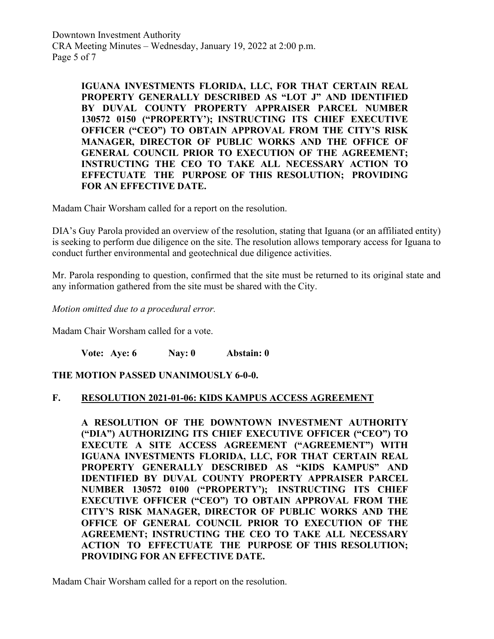Downtown Investment Authority CRA Meeting Minutes – Wednesday, January 19, 2022 at 2:00 p.m. Page 5 of 7

> **IGUANA INVESTMENTS FLORIDA, LLC, FOR THAT CERTAIN REAL PROPERTY GENERALLY DESCRIBED AS "LOT J" AND IDENTIFIED BY DUVAL COUNTY PROPERTY APPRAISER PARCEL NUMBER 130572 0150 ("PROPERTY'); INSTRUCTING ITS CHIEF EXECUTIVE OFFICER ("CEO") TO OBTAIN APPROVAL FROM THE CITY'S RISK MANAGER, DIRECTOR OF PUBLIC WORKS AND THE OFFICE OF GENERAL COUNCIL PRIOR TO EXECUTION OF THE AGREEMENT; INSTRUCTING THE CEO TO TAKE ALL NECESSARY ACTION TO EFFECTUATE THE PURPOSE OF THIS RESOLUTION; PROVIDING FOR AN EFFECTIVE DATE.**

Madam Chair Worsham called for a report on the resolution.

DIA's Guy Parola provided an overview of the resolution, stating that Iguana (or an affiliated entity) is seeking to perform due diligence on the site. The resolution allows temporary access for Iguana to conduct further environmental and geotechnical due diligence activities.

Mr. Parola responding to question, confirmed that the site must be returned to its original state and any information gathered from the site must be shared with the City.

*Motion omitted due to a procedural error.*

Madam Chair Worsham called for a vote.

**Vote: Aye: 6 Nay: 0 Abstain: 0**

**THE MOTION PASSED UNANIMOUSLY 6-0-0.**

#### **F. RESOLUTION 2021-01-06: KIDS KAMPUS ACCESS AGREEMENT**

**A RESOLUTION OF THE DOWNTOWN INVESTMENT AUTHORITY ("DIA") AUTHORIZING ITS CHIEF EXECUTIVE OFFICER ("CEO") TO EXECUTE A SITE ACCESS AGREEMENT ("AGREEMENT") WITH IGUANA INVESTMENTS FLORIDA, LLC, FOR THAT CERTAIN REAL PROPERTY GENERALLY DESCRIBED AS "KIDS KAMPUS" AND IDENTIFIED BY DUVAL COUNTY PROPERTY APPRAISER PARCEL NUMBER 130572 0100 ("PROPERTY'); INSTRUCTING ITS CHIEF EXECUTIVE OFFICER ("CEO") TO OBTAIN APPROVAL FROM THE CITY'S RISK MANAGER, DIRECTOR OF PUBLIC WORKS AND THE OFFICE OF GENERAL COUNCIL PRIOR TO EXECUTION OF THE AGREEMENT; INSTRUCTING THE CEO TO TAKE ALL NECESSARY ACTION TO EFFECTUATE THE PURPOSE OF THIS RESOLUTION; PROVIDING FOR AN EFFECTIVE DATE.**

Madam Chair Worsham called for a report on the resolution.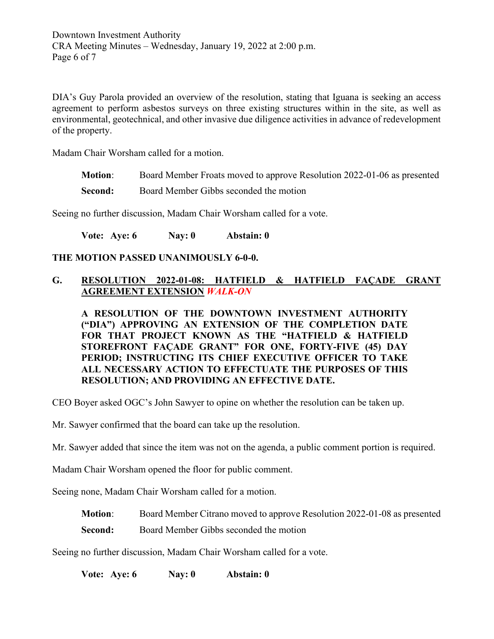DIA's Guy Parola provided an overview of the resolution, stating that Iguana is seeking an access agreement to perform asbestos surveys on three existing structures within in the site, as well as environmental, geotechnical, and other invasive due diligence activities in advance of redevelopment of the property.

Madam Chair Worsham called for a motion.

- **Motion**: Board Member Froats moved to approve Resolution 2022-01-06 as presented
- **Second:** Board Member Gibbs seconded the motion

Seeing no further discussion, Madam Chair Worsham called for a vote.

**Vote: Aye: 6 Nay: 0 Abstain: 0**

### **THE MOTION PASSED UNANIMOUSLY 6-0-0.**

### **G. RESOLUTION 2022-01-08: HATFIELD & HATFIELD FAÇADE GRANT AGREEMENT EXTENSION** *WALK-ON*

**A RESOLUTION OF THE DOWNTOWN INVESTMENT AUTHORITY ("DIA") APPROVING AN EXTENSION OF THE COMPLETION DATE FOR THAT PROJECT KNOWN AS THE "HATFIELD & HATFIELD STOREFRONT FAÇADE GRANT" FOR ONE, FORTY-FIVE (45) DAY PERIOD; INSTRUCTING ITS CHIEF EXECUTIVE OFFICER TO TAKE ALL NECESSARY ACTION TO EFFECTUATE THE PURPOSES OF THIS RESOLUTION; AND PROVIDING AN EFFECTIVE DATE.**

CEO Boyer asked OGC's John Sawyer to opine on whether the resolution can be taken up.

Mr. Sawyer confirmed that the board can take up the resolution.

Mr. Sawyer added that since the item was not on the agenda, a public comment portion is required.

Madam Chair Worsham opened the floor for public comment.

Seeing none, Madam Chair Worsham called for a motion.

- **Motion**: Board Member Citrano moved to approve Resolution 2022-01-08 as presented
- **Second:** Board Member Gibbs seconded the motion

Seeing no further discussion, Madam Chair Worsham called for a vote.

**Vote: Aye: 6 Nay: 0 Abstain: 0**